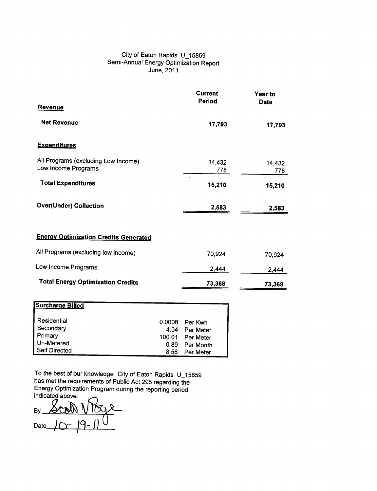## City of Eaton Rapids U\_15859 Semi-Annual Energy Optimization Report June, 2011

|                                                            | <b>Current</b> | Year to       |
|------------------------------------------------------------|----------------|---------------|
| <b>Revenue</b>                                             | Period         | <b>Date</b>   |
| <b>Net Revenue</b>                                         | 17,793         | 17,793        |
| <b>Expenditures</b>                                        |                |               |
| All Programs (excluding Low Income)<br>Low Income Programs | 14,432<br>778  | 14,432<br>778 |
| <b>Total Expenditures</b>                                  | 15,210         | 15,210        |
| <b>Over(Under) Collection</b>                              | 2,583          | 2,583         |
| <b>Energy Optimization Credits Generated</b>               |                |               |
| All Programs (excluding low income)                        | 70,924         | 70,924        |
| Low Income Programs                                        | 2,444          | 2,444         |
| <b>Total Energy Optimization Credits</b>                   | 73,368         | 73,368        |

 $\lambda$ 

| <b>Surcharge Billed</b> |        |                |
|-------------------------|--------|----------------|
| Residential             |        | 0.0008 Per Kwh |
| Secondary               | 4.04   | Per Meter      |
| Primary                 | 100.01 | Per Meter      |
| Un-Metered              | 0.89   | Per Month      |
| <b>Self Directed</b>    | 8.56   | Per Meter      |

To the best of our knowledge City of Eaton Rapids U\_15859 has met the requirements of Public Act 295 regarding the Energy Optimization Program during the reporting period ::ica~~

ate *J* O - *J* 9 - J) <sup>()</sup>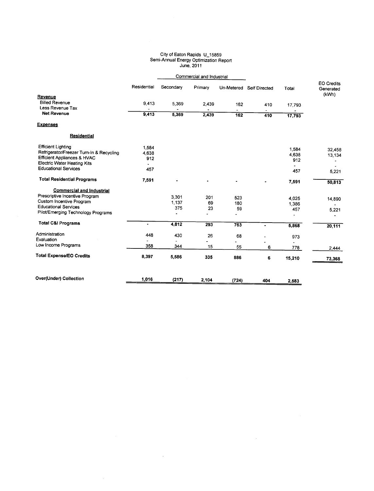## City of Eaton Rapids U\_158 Semi-Annual Energy Optimization Report  $J$ une, 2

|                                           |                          | Commercial and Industrial |                          |                                 |                          |                |                                         |
|-------------------------------------------|--------------------------|---------------------------|--------------------------|---------------------------------|--------------------------|----------------|-----------------------------------------|
|                                           | Residential              | Secondary                 | Primary                  |                                 | Un-Metered Self Directed | Total          | <b>EO Credits</b><br>Generated<br>(kWh) |
| Revenue                                   |                          |                           |                          |                                 |                          |                |                                         |
| <b>Billed Revenue</b><br>Less Revenue Tax | 9,413                    | 5.369                     | 2.439                    | 162                             | 410                      | 17,793         |                                         |
| <b>Net Revenue</b>                        | 9,413                    | 5,369                     | 2,439                    | $\overline{\phantom{a}}$<br>162 | 410                      | 17,793         |                                         |
| <b>Expenses</b>                           |                          |                           |                          |                                 |                          |                |                                         |
| <b>Residential</b>                        |                          |                           |                          |                                 |                          |                |                                         |
| <b>Efficient Lighting</b>                 | 1.584                    |                           |                          |                                 |                          |                |                                         |
| Refrigerator/Freezer Turn-In & Recycling  | 4,638                    |                           |                          |                                 |                          | 1,584          | 32,458                                  |
| <b>Efficient Appliances &amp; HVAC</b>    | 912                      |                           |                          |                                 |                          | 4,638          | 13,134                                  |
| <b>Electric Water Heating Kits</b>        | $\overline{\phantom{a}}$ |                           |                          |                                 |                          | 912            |                                         |
| <b>Educational Services</b>               | 457                      |                           |                          |                                 |                          | 457            | 5,221                                   |
| <b>Total Residential Programs</b>         | 7,591                    |                           |                          | ٠                               |                          | 7,591          | 50,813                                  |
| <b>Commercial and Industrial</b>          |                          |                           |                          |                                 |                          |                |                                         |
| Prescriptive Incentive Program            |                          | 3,301                     | 201                      | 523                             |                          |                |                                         |
| Custom Incentive Program                  |                          | 1,137                     | 69                       | 180                             |                          | 4,025<br>1,386 | 14,890                                  |
| <b>Educational Services</b>               |                          | 375                       | 23                       | 59                              |                          | 457            |                                         |
| Pilot/Emerging Technology Programs        |                          | ä,                        | $\blacksquare$           | ä,                              |                          | $\blacksquare$ | 5,221                                   |
| <b>Total C&amp;I Programs</b>             | $\bullet$                | 4,812                     | 293                      | 763                             | $\blacksquare$           | 5,868          | 20,111                                  |
| Administration                            | 448                      | 430                       | 26                       | 68                              |                          |                |                                         |
| Evaluation                                |                          |                           | $\overline{\phantom{0}}$ | $\ddot{\phantom{a}}$            |                          | 973            |                                         |
| Low Income Programs                       | 358                      | 344                       | 15                       | 55                              | 6                        | 778            | 2,444                                   |
| <b>Total Expense/EO Credits</b>           | 8,397                    | 5,586                     | 335                      | 886                             | 6                        | 15,210         | 73,368                                  |
| Over(Under) Collection                    | 1,016                    | (217)                     | 2.104                    | (724)                           | 404                      | 2.583          |                                         |

 $\sim 10^{-11}$ 

 $\mathcal{A}^{\mathcal{A}}$ 

 $\sim 10^7$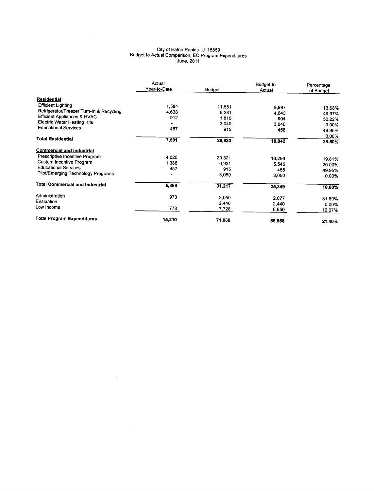## City of Eaton Rapids U\_1585 Budget to Actual Comparison, EO Program Expenditure June, 2011

|                                          | Actual<br>Year-to-Date<br><b>Budget</b> |        | Budget to<br>Actual | Percentage<br>of Budget |  |
|------------------------------------------|-----------------------------------------|--------|---------------------|-------------------------|--|
| Residential                              |                                         |        |                     |                         |  |
| <b>Efficient Lighting</b>                | 1.584                                   | 11,581 | 9,997               |                         |  |
| Refrigerator/Freezer Turn-In & Recycling | 4,638                                   | 9.281  |                     | 13.68%                  |  |
| <b>Efficient Appliances &amp; HVAC</b>   | 912                                     | 1,816  | 4,643               | 49.97%                  |  |
| <b>Electric Water Heating Kits</b>       |                                         | 3,040  | 904                 | 50.22%                  |  |
| <b>Educational Services</b>              | 457                                     |        | 3,040               | 0.00%                   |  |
|                                          |                                         | 915    | 458                 | 49.95%                  |  |
| <b>Total Residential</b>                 |                                         |        |                     | 0.00%                   |  |
|                                          | 7,591                                   | 26,633 | 19,042              | 28.50%                  |  |
| <b>Commercial and Industrial</b>         |                                         |        |                     |                         |  |
| Prescriptive Incentive Program           | 4,025                                   | 20,321 | 16,296              |                         |  |
| Custom Incentive Program                 | 1,386                                   | 6,931  | 5,545               | 19.81%                  |  |
| <b>Educational Services</b>              | 457                                     | 915    | 458                 | 20.00%                  |  |
| Pilot/Emerging Technology Programs       |                                         | 3,050  |                     | 49.95%                  |  |
|                                          |                                         |        | 3.050               | 0.00%                   |  |
| <b>Total Commercial and Industrial</b>   | 5,868                                   | 31,217 | 25,349              | 18.80%                  |  |
| Administration                           | 973                                     | 3,050  |                     |                         |  |
| Evaluation                               |                                         |        | 2,077               | 31.89%                  |  |
| Low Income                               |                                         | 2,440  | 2,440               | $0.00\%$                |  |
|                                          | 778                                     | 7,728  | 6,950               | 10.07%                  |  |
| <b>Total Program Expenditures</b>        | 15,210                                  | 71,068 | 55,858              | 21.40%                  |  |